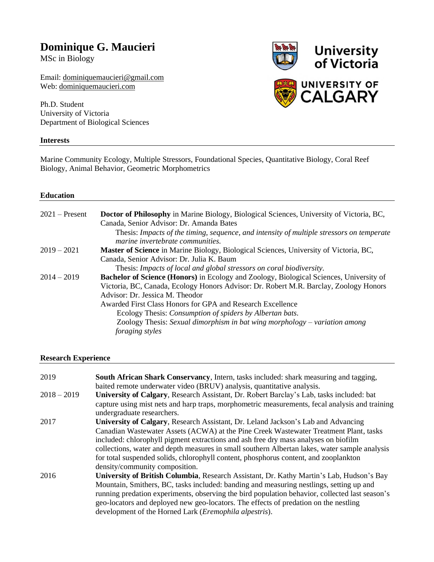## **Dominique G. Maucieri**

MSc in Biology

Email: [dominiquemaucieri@gmail.com](mailto:dominiquemaucieri@gmail.com) Web: [dominiquemaucieri.com](http://www.dominiquemaucieri.com/)

Ph.D. Student University of Victoria Department of Biological Sciences

#### **Interests**



Marine Community Ecology, Multiple Stressors, Foundational Species, Quantitative Biology, Coral Reef Biology, Animal Behavior, Geometric Morphometrics

#### **Education**

| $2021 -$ Present | <b>Doctor of Philosophy</b> in Marine Biology, Biological Sciences, University of Victoria, BC, |
|------------------|-------------------------------------------------------------------------------------------------|
|                  | Canada, Senior Advisor: Dr. Amanda Bates                                                        |
|                  | Thesis: Impacts of the timing, sequence, and intensity of multiple stressors on temperate       |
|                  | marine invertebrate communities.                                                                |
| $2019 - 2021$    | <b>Master of Science</b> in Marine Biology, Biological Sciences, University of Victoria, BC,    |
|                  | Canada, Senior Advisor: Dr. Julia K. Baum                                                       |
|                  | Thesis: Impacts of local and global stressors on coral biodiversity.                            |
| $2014 - 2019$    | <b>Bachelor of Science (Honors)</b> in Ecology and Zoology, Biological Sciences, University of  |
|                  | Victoria, BC, Canada, Ecology Honors Advisor: Dr. Robert M.R. Barclay, Zoology Honors           |
|                  | Advisor: Dr. Jessica M. Theodor                                                                 |
|                  | Awarded First Class Honors for GPA and Research Excellence                                      |
|                  | Ecology Thesis: <i>Consumption of spiders by Albertan bats</i> .                                |
|                  | Zoology Thesis: Sexual dimorphism in bat wing morphology – variation among                      |
|                  | <i>foraging styles</i>                                                                          |

#### **Research Experience**

| 2019          | South African Shark Conservancy, Intern, tasks included: shark measuring and tagging,<br>baited remote underwater video (BRUV) analysis, quantitative analysis.                                                                                                                                                                                                                                                                                                                              |
|---------------|----------------------------------------------------------------------------------------------------------------------------------------------------------------------------------------------------------------------------------------------------------------------------------------------------------------------------------------------------------------------------------------------------------------------------------------------------------------------------------------------|
| $2018 - 2019$ | University of Calgary, Research Assistant, Dr. Robert Barclay's Lab, tasks included: bat<br>capture using mist nets and harp traps, morphometric measurements, fecal analysis and training<br>undergraduate researchers.                                                                                                                                                                                                                                                                     |
| 2017          | University of Calgary, Research Assistant, Dr. Leland Jackson's Lab and Advancing<br>Canadian Wastewater Assets (ACWA) at the Pine Creek Wastewater Treatment Plant, tasks<br>included: chlorophyll pigment extractions and ash free dry mass analyses on biofilm<br>collections, water and depth measures in small southern Albertan lakes, water sample analysis<br>for total suspended solids, chlorophyll content, phosphorus content, and zooplankton<br>density/community composition. |
| 2016          | University of British Columbia, Research Assistant, Dr. Kathy Martin's Lab, Hudson's Bay<br>Mountain, Smithers, BC, tasks included: banding and measuring nestlings, setting up and<br>running predation experiments, observing the bird population behavior, collected last season's<br>geo-locators and deployed new geo-locators. The effects of predation on the nestling<br>development of the Horned Lark (Eremophila alpestris).                                                      |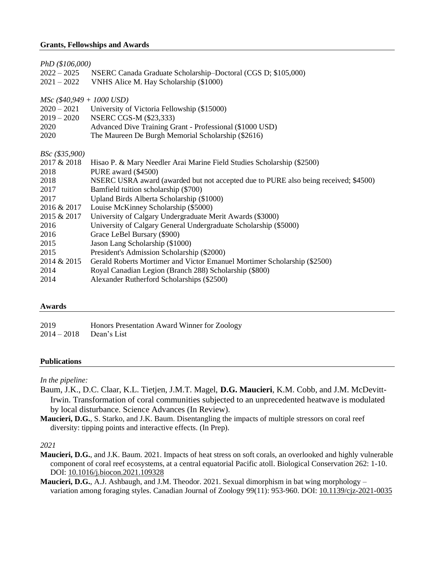#### **Grants, Fellowships and Awards**

|                             | PhD (\$106,000)                                                                     |  |  |
|-----------------------------|-------------------------------------------------------------------------------------|--|--|
| $2022 - 2025$               | NSERC Canada Graduate Scholarship-Doctoral (CGS D; \$105,000)                       |  |  |
| $2021 - 2022$               | VNHS Alice M. Hay Scholarship (\$1000)                                              |  |  |
|                             |                                                                                     |  |  |
| $MSc$ (\$40,949 + 1000 USD) |                                                                                     |  |  |
|                             | 2020 – 2021 University of Victoria Fellowship (\$15000)                             |  |  |
| $2019 - 2020$               | NSERC CGS-M (\$23,333)                                                              |  |  |
| 2020                        | Advanced Dive Training Grant - Professional (\$1000 USD)                            |  |  |
| 2020                        | The Maureen De Burgh Memorial Scholarship (\$2616)                                  |  |  |
|                             |                                                                                     |  |  |
| BSc (\$35,900)              |                                                                                     |  |  |
| 2017 & 2018                 | Hisao P. & Mary Needler Arai Marine Field Studies Scholarship (\$2500)              |  |  |
| 2018                        | PURE award (\$4500)                                                                 |  |  |
| 2018                        | NSERC USRA award (awarded but not accepted due to PURE also being received; \$4500) |  |  |
| 2017                        | Bamfield tuition scholarship (\$700)                                                |  |  |
| 2017                        | Upland Birds Alberta Scholarship (\$1000)                                           |  |  |
| 2016 & 2017                 | Louise McKinney Scholarship (\$5000)                                                |  |  |
| 2015 & 2017                 | University of Calgary Undergraduate Merit Awards (\$3000)                           |  |  |
| 2016                        | University of Calgary General Undergraduate Scholarship (\$5000)                    |  |  |
| 2016                        | Grace LeBel Bursary (\$900)                                                         |  |  |
| 2015                        | Jason Lang Scholarship (\$1000)                                                     |  |  |
| 2015                        | President's Admission Scholarship (\$2000)                                          |  |  |
| 2014 & 2015                 | Gerald Roberts Mortimer and Victor Emanuel Mortimer Scholarship (\$2500)            |  |  |
| 2014                        | Royal Canadian Legion (Branch 288) Scholarship (\$800)                              |  |  |
| 2014                        | Alexander Rutherford Scholarships (\$2500)                                          |  |  |

#### **Awards**

2019 Honors Presentation Award Winner for Zoology 2014 – 2018 Dean's List

#### **Publications**

*In the pipeline:*

- Baum, J.K., D.C. Claar, K.L. Tietjen, J.M.T. Magel, **D.G. Maucieri**, K.M. Cobb, and J.M. McDevitt-Irwin. Transformation of coral communities subjected to an unprecedented heatwave is modulated by local disturbance. Science Advances (In Review).
- **Maucieri, D.G.**, S. Starko, and J.K. Baum. Disentangling the impacts of multiple stressors on coral reef diversity: tipping points and interactive effects. (In Prep).

*2021*

- **Maucieri, D.G.**, and J.K. Baum. 2021. Impacts of heat stress on soft corals, an overlooked and highly vulnerable component of coral reef ecosystems, at a central equatorial Pacific atoll. Biological Conservation 262: 1-10. DOI: 10.1016/j.biocon.2021.109328
- **Maucieri, D.G.**, A.J. Ashbaugh, and J.M. Theodor. 2021. Sexual dimorphism in bat wing morphology variation among foraging styles. Canadian Journal of Zoology 99(11): 953-960. DOI: 10.1139/cjz-2021-0035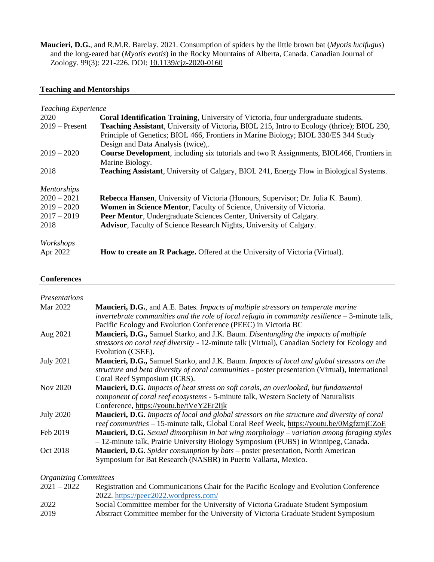**Maucieri, D.G.**, and R.M.R. Barclay. 2021. Consumption of spiders by the little brown bat (*Myotis lucifugus*) and the long-eared bat (*Myotis evotis*) in the Rocky Mountains of Alberta, Canada. Canadian Journal of Zoology. 99(3): 221-226. DOI: 10.1139/cjz-2020-0160

#### **Teaching and Mentorships**

| <b>Teaching Experience</b> |                                                                                                    |
|----------------------------|----------------------------------------------------------------------------------------------------|
| 2020                       | <b>Coral Identification Training, University of Victoria, four undergraduate students.</b>         |
| $2019$ – Present           | <b>Teaching Assistant</b> , University of Victoria, BIOL 215, Intro to Ecology (thrice); BIOL 230, |
|                            | Principle of Genetics; BIOL 466, Frontiers in Marine Biology; BIOL 330/ES 344 Study                |
|                            | Design and Data Analysis (twice),.                                                                 |
| $2019 - 2020$              | <b>Course Development, including six tutorials and two R Assignments, BIOL466, Frontiers in</b>    |
|                            | Marine Biology.                                                                                    |
| 2018                       | <b>Teaching Assistant, University of Calgary, BIOL 241, Energy Flow in Biological Systems.</b>     |
| <b>Mentorships</b>         |                                                                                                    |
| $2020 - 2021$              | <b>Rebecca Hansen</b> , University of Victoria (Honours, Supervisor; Dr. Julia K. Baum).           |
| $2019 - 2020$              | Women in Science Mentor, Faculty of Science, University of Victoria.                               |
| $2017 - 2019$              | Peer Mentor, Undergraduate Sciences Center, University of Calgary.                                 |
| 2018                       | <b>Advisor</b> , Faculty of Science Research Nights, University of Calgary.                        |
| Workshops                  |                                                                                                    |
| Apr 2022                   | <b>How to create an R Package.</b> Offered at the University of Victoria (Virtual).                |

#### **Conferences**

| <i>Presentations</i> |                                                                                                                                                                                                       |
|----------------------|-------------------------------------------------------------------------------------------------------------------------------------------------------------------------------------------------------|
| Mar 2022             | <b>Maucieri, D.G.</b> , and A.E. Bates. <i>Impacts of multiple stressors on temperate marine</i><br>invertebrate communities and the role of local refugia in community resilience $-3$ -minute talk, |
|                      | Pacific Ecology and Evolution Conference (PEEC) in Victoria BC                                                                                                                                        |
| Aug 2021             | <b>Maucieri, D.G., Samuel Starko, and J.K. Baum. Disentangling the impacts of multiple</b>                                                                                                            |
|                      | stressors on coral reef diversity - 12-minute talk (Virtual), Canadian Society for Ecology and<br>Evolution (CSEE).                                                                                   |
| <b>July 2021</b>     | <b>Maucieri, D.G.,</b> Samuel Starko, and J.K. Baum. <i>Impacts of local and global stressors on the</i>                                                                                              |
|                      | structure and beta diversity of coral communities - poster presentation (Virtual), International                                                                                                      |
|                      | Coral Reef Symposium (ICRS).                                                                                                                                                                          |
| Nov 2020             | <b>Maucieri, D.G.</b> Impacts of heat stress on soft corals, an overlooked, but fundamental                                                                                                           |
|                      | component of coral reef ecosystems - 5-minute talk, Western Society of Naturalists                                                                                                                    |
|                      | Conference, https://youtu.be/tVeY2Er2Ijk                                                                                                                                                              |
| <b>July 2020</b>     | <b>Maucieri, D.G.</b> Impacts of local and global stressors on the structure and diversity of coral<br>reef communities - 15-minute talk, Global Coral Reef Week, https://youtu.be/0MgfzmjCZoE        |
| Feb 2019             | <b>Maucieri, D.G.</b> Sexual dimorphism in bat wing morphology $-$ variation among foraging styles<br>- 12-minute talk, Prairie University Biology Symposium (PUBS) in Winnipeg, Canada.              |
| Oct 2018             | Maucieri, D.G. Spider consumption by bats – poster presentation, North American                                                                                                                       |
|                      | Symposium for Bat Research (NASBR) in Puerto Vallarta, Mexico.                                                                                                                                        |

#### *Organizing Committees*

- 2021 2022 Registration and Communications Chair for the Pacific Ecology and Evolution Conference 2022.<https://peec2022.wordpress.com/>
- 2022 Social Committee member for the University of Victoria Graduate Student Symposium 2019 Abstract Committee member for the University of Victoria Graduate Student Symposium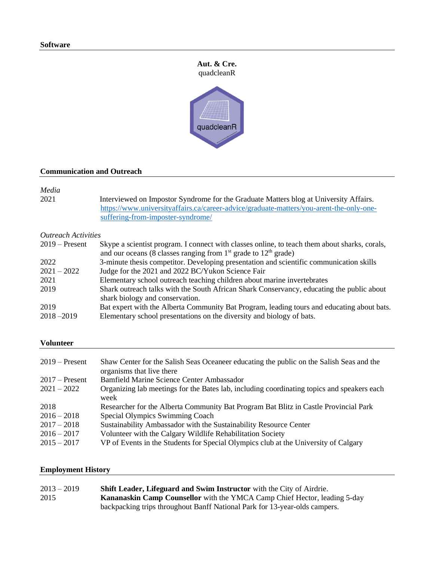# **Aut. & Cre.** quadcleanR



#### **Communication and Outreach**

*Media* Interviewed on Impostor Syndrome for the Graduate Matters blog at University Affairs. [https://www.universityaffairs.ca/career-advice/graduate-matters/you-arent-the-only-one](https://www.universityaffairs.ca/career-advice/graduate-matters/you-arent-the-only-one-suffering-from-imposter-syndrome/)[suffering-from-imposter-syndrome/](https://www.universityaffairs.ca/career-advice/graduate-matters/you-arent-the-only-one-suffering-from-imposter-syndrome/)

### *Outreach Activities*

| Skype a scientist program. I connect with classes online, to teach them about sharks, corals,<br>and our oceans (8 classes ranging from $1st$ grade to $12th$ grade) |
|----------------------------------------------------------------------------------------------------------------------------------------------------------------------|
|                                                                                                                                                                      |
| 3-minute thesis competitor. Developing presentation and scientific communication skills                                                                              |
| Judge for the 2021 and 2022 BC/Yukon Science Fair                                                                                                                    |
| Elementary school outreach teaching children about marine invertebrates                                                                                              |
| Shark outreach talks with the South African Shark Conservancy, educating the public about                                                                            |
| shark biology and conservation.                                                                                                                                      |
| Bat expert with the Alberta Community Bat Program, leading tours and educating about bats.                                                                           |
| Elementary school presentations on the diversity and biology of bats.                                                                                                |
|                                                                                                                                                                      |

#### **Volunteer**

| $2019$ – Present | Shaw Center for the Salish Seas Oceaneer educating the public on the Salish Seas and the<br>organisms that live there |
|------------------|-----------------------------------------------------------------------------------------------------------------------|
| $2017 -$ Present | Bamfield Marine Science Center Ambassador                                                                             |
| $2021 - 2022$    | Organizing lab meetings for the Bates lab, including coordinating topics and speakers each<br>week                    |
| 2018             | Researcher for the Alberta Community Bat Program Bat Blitz in Castle Provincial Park                                  |
| $2016 - 2018$    | Special Olympics Swimming Coach                                                                                       |
| $2017 - 2018$    | Sustainability Ambassador with the Sustainability Resource Center                                                     |
| $2016 - 2017$    | Volunteer with the Calgary Wildlife Rehabilitation Society                                                            |
| $2015 - 2017$    | VP of Events in the Students for Special Olympics club at the University of Calgary                                   |

#### **Employment History**

| $2013 - 2019$ | Shift Leader, Lifeguard and Swim Instructor with the City of Airdrie.            |
|---------------|----------------------------------------------------------------------------------|
| 2015          | <b>Kananaskin Camp Counsellor</b> with the YMCA Camp Chief Hector, leading 5-day |
|               | backpacking trips throughout Banff National Park for 13-year-olds campers.       |